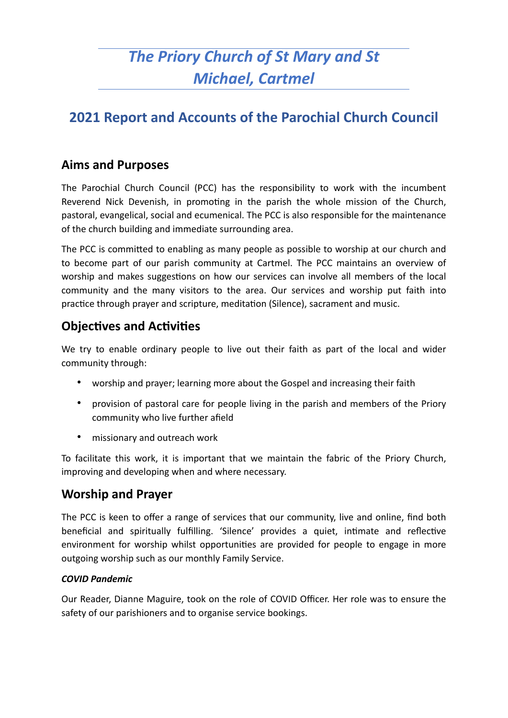# *The Priory Church of St Mary and St Michael, Cartmel*

# **2021 Report and Accounts of the Parochial Church Council**

### **Aims and Purposes**

The Parochial Church Council (PCC) has the responsibility to work with the incumbent Reverend Nick Devenish, in promoting in the parish the whole mission of the Church, pastoral, evangelical, social and ecumenical. The PCC is also responsible for the maintenance of the church building and immediate surrounding area.

The PCC is committed to enabling as many people as possible to worship at our church and to become part of our parish community at Cartmel. The PCC maintains an overview of worship and makes suggestions on how our services can involve all members of the local community and the many visitors to the area. Our services and worship put faith into practice through prayer and scripture, meditation (Silence), sacrament and music.

### **Objectives and Activities**

We try to enable ordinary people to live out their faith as part of the local and wider community through:

- worship and prayer; learning more about the Gospel and increasing their faith
- provision of pastoral care for people living in the parish and members of the Priory community who live further afield
- missionary and outreach work

To facilitate this work, it is important that we maintain the fabric of the Priory Church, improving and developing when and where necessary.

### **Worship and Prayer**

The PCC is keen to offer a range of services that our community, live and online, find both beneficial and spiritually fulfilling. 'Silence' provides a quiet, intimate and reflective environment for worship whilst opportunities are provided for people to engage in more outgoing worship such as our monthly Family Service.

#### *COVID Pandemic*

Our Reader, Dianne Maguire, took on the role of COVID Officer. Her role was to ensure the safety of our parishioners and to organise service bookings.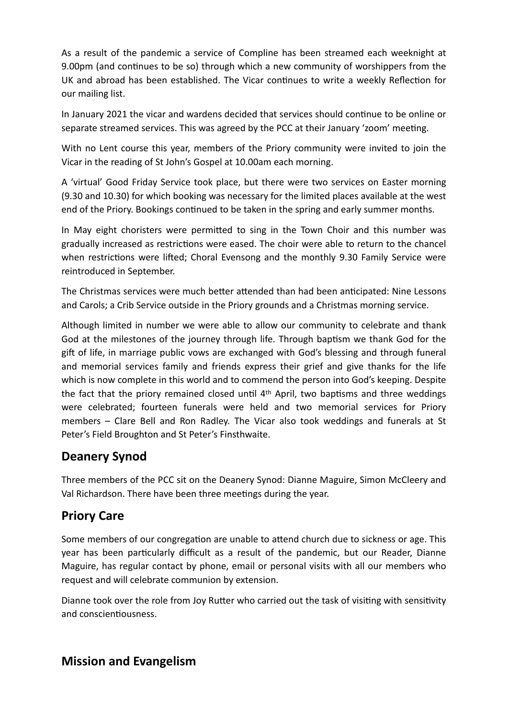As a result of the pandemic a service of Compline has been streamed each weeknight at 9.00pm (and continues to be so) through which a new community of worshippers from the UK and abroad has been established. The Vicar continues to write a weekly Reflection for our mailing list.

In January 2021 the vicar and wardens decided that services should continue to be online or separate streamed services. This was agreed by the PCC at their January 'zoom' meeting.

With no Lent course this year, members of the Priory community were invited to join the Vicar in the reading of St John's Gospel at 10.00am each morning.

A 'virtual' Good Friday Service took place, but there were two services on Easter morning (9.30 and 10.30) for which booking was necessary for the limited places available at the west end of the Priory. Bookings continued to be taken in the spring and early summer months.

In May eight choristers were permitted to sing in the Town Choir and this number was gradually increased as restrictions were eased. The choir were able to return to the chancel when restrictions were lifted; Choral Evensong and the monthly 9.30 Family Service were reintroduced in September.

The Christmas services were much better attended than had been anticipated: Nine Lessons and Carols; a Crib Service outside in the Priory grounds and a Christmas morning service.

Although limited in number we were able to allow our community to celebrate and thank God at the milestones of the journey through life. Through baptism we thank God for the gift of life, in marriage public vows are exchanged with God's blessing and through funeral and memorial services family and friends express their grief and give thanks for the life which is now complete in this world and to commend the person into God's keeping. Despite the fact that the priory remained closed until 4th April, two baptisms and three weddings were celebrated; fourteen funerals were held and two memorial services for Priory members – Clare Bell and Ron Radley. The Vicar also took weddings and funerals at St Peter's Field Broughton and St Peter's Finsthwaite.

### **Deanery Synod**

Three members of the PCC sit on the Deanery Synod: Dianne Maguire, Simon McCleery and Val Richardson. There have been three meetings during the year.

### **Priory Care**

Some members of our congregation are unable to attend church due to sickness or age. This year has been particularly difficult as a result of the pandemic, but our Reader, Dianne Maguire, has regular contact by phone, email or personal visits with all our members who request and will celebrate communion by extension.

Dianne took over the role from Joy Rutter who carried out the task of visiting with sensitivity and conscientiousness.

### **Mission and Evangelism**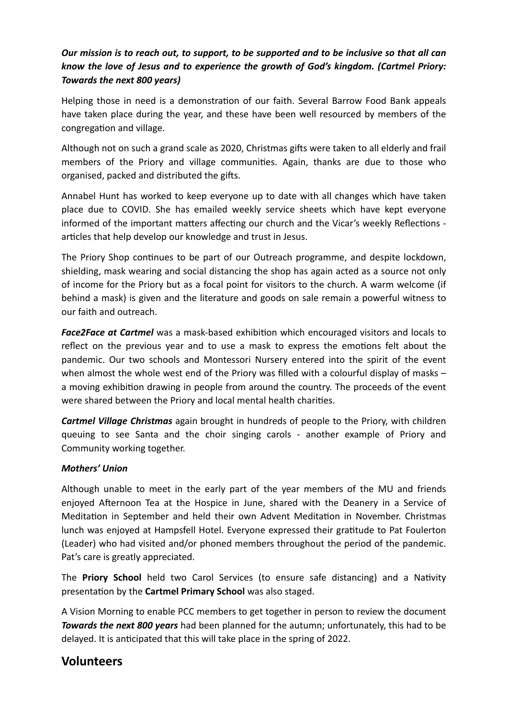#### *Our mission is to reach out, to support, to be supported and to be inclusive so that all can know the love of Jesus and to experience the growth of God's kingdom. (Cartmel Priory: Towards the next 800 years)*

Helping those in need is a demonstration of our faith. Several Barrow Food Bank appeals have taken place during the year, and these have been well resourced by members of the congregation and village.

Although not on such a grand scale as 2020, Christmas gifts were taken to all elderly and frail members of the Priory and village communities. Again, thanks are due to those who organised, packed and distributed the gifts.

Annabel Hunt has worked to keep everyone up to date with all changes which have taken place due to COVID. She has emailed weekly service sheets which have kept everyone informed of the important matters affecting our church and the Vicar's weekly Reflections articles that help develop our knowledge and trust in Jesus.

The Priory Shop continues to be part of our Outreach programme, and despite lockdown, shielding, mask wearing and social distancing the shop has again acted as a source not only of income for the Priory but as a focal point for visitors to the church. A warm welcome (if behind a mask) is given and the literature and goods on sale remain a powerful witness to our faith and outreach.

*Face2Face at Cartmel* was a mask-based exhibition which encouraged visitors and locals to reflect on the previous year and to use a mask to express the emotions felt about the pandemic. Our two schools and Montessori Nursery entered into the spirit of the event when almost the whole west end of the Priory was filled with a colourful display of masks – a moving exhibition drawing in people from around the country. The proceeds of the event were shared between the Priory and local mental health charities.

*Cartmel Village Christmas* again brought in hundreds of people to the Priory, with children queuing to see Santa and the choir singing carols - another example of Priory and Community working together.

#### *Mothers' Union*

Although unable to meet in the early part of the year members of the MU and friends enjoyed Afternoon Tea at the Hospice in June, shared with the Deanery in a Service of Meditation in September and held their own Advent Meditation in November. Christmas lunch was enjoyed at Hampsfell Hotel. Everyone expressed their gratitude to Pat Foulerton (Leader) who had visited and/or phoned members throughout the period of the pandemic. Pat's care is greatly appreciated.

The **Priory School** held two Carol Services (to ensure safe distancing) and a Nativity presentation by the **Cartmel Primary School** was also staged.

A Vision Morning to enable PCC members to get together in person to review the document *Towards the next 800 years* had been planned for the autumn; unfortunately, this had to be delayed. It is anticipated that this will take place in the spring of 2022.

### **Volunteers**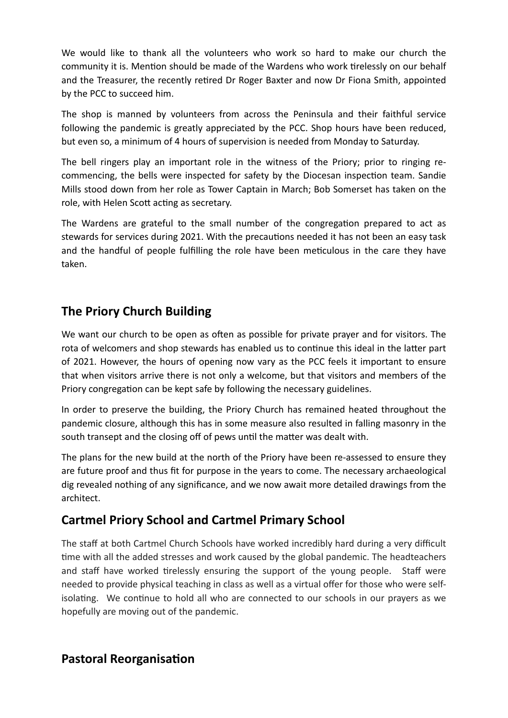We would like to thank all the volunteers who work so hard to make our church the community it is. Mention should be made of the Wardens who work tirelessly on our behalf and the Treasurer, the recently retired Dr Roger Baxter and now Dr Fiona Smith, appointed by the PCC to succeed him.

The shop is manned by volunteers from across the Peninsula and their faithful service following the pandemic is greatly appreciated by the PCC. Shop hours have been reduced, but even so, a minimum of 4 hours of supervision is needed from Monday to Saturday.

The bell ringers play an important role in the witness of the Priory; prior to ringing recommencing, the bells were inspected for safety by the Diocesan inspection team. Sandie Mills stood down from her role as Tower Captain in March; Bob Somerset has taken on the role, with Helen Scott acting as secretary.

The Wardens are grateful to the small number of the congregation prepared to act as stewards for services during 2021. With the precautions needed it has not been an easy task and the handful of people fulfilling the role have been meticulous in the care they have taken.

# **The Priory Church Building**

We want our church to be open as often as possible for private prayer and for visitors. The rota of welcomers and shop stewards has enabled us to continue this ideal in the latter part of 2021. However, the hours of opening now vary as the PCC feels it important to ensure that when visitors arrive there is not only a welcome, but that visitors and members of the Priory congregation can be kept safe by following the necessary guidelines.

In order to preserve the building, the Priory Church has remained heated throughout the pandemic closure, although this has in some measure also resulted in falling masonry in the south transept and the closing off of pews until the matter was dealt with.

The plans for the new build at the north of the Priory have been re-assessed to ensure they are future proof and thus fit for purpose in the years to come. The necessary archaeological dig revealed nothing of any significance, and we now await more detailed drawings from the architect.

# **Cartmel Priory School and Cartmel Primary School**

The staff at both Cartmel Church Schools have worked incredibly hard during a very difficult time with all the added stresses and work caused by the global pandemic. The headteachers and staff have worked tirelessly ensuring the support of the young people. Staff were needed to provide physical teaching in class as well as a virtual offer for those who were selfisolating. We continue to hold all who are connected to our schools in our prayers as we hopefully are moving out of the pandemic.

### **Pastoral Reorganisation**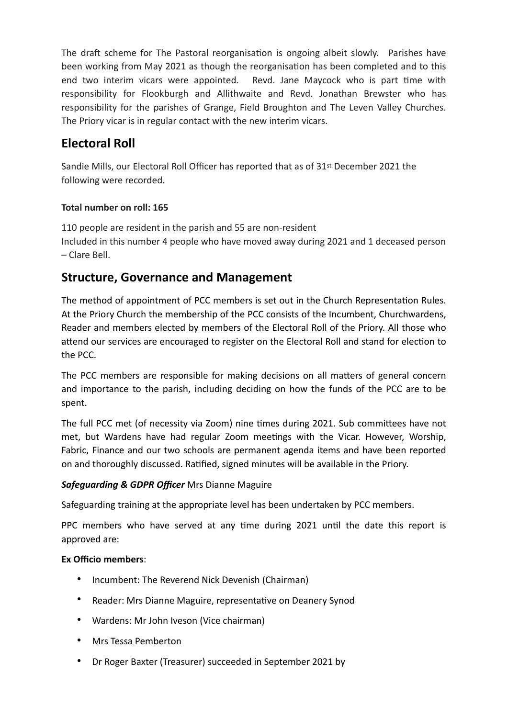The draft scheme for The Pastoral reorganisation is ongoing albeit slowly. Parishes have been working from May 2021 as though the reorganisation has been completed and to this end two interim vicars were appointed. Revd. Jane Maycock who is part time with responsibility for Flookburgh and Allithwaite and Revd. Jonathan Brewster who has responsibility for the parishes of Grange, Field Broughton and The Leven Valley Churches. The Priory vicar is in regular contact with the new interim vicars.

# **Electoral Roll**

Sandie Mills, our Electoral Roll Officer has reported that as of 31st December 2021 the following were recorded.

#### **Total number on roll: 165**

110 people are resident in the parish and 55 are non-resident Included in this number 4 people who have moved away during 2021 and 1 deceased person – Clare Bell.

## **Structure, Governance and Management**

The method of appointment of PCC members is set out in the Church Representation Rules. At the Priory Church the membership of the PCC consists of the Incumbent, Churchwardens, Reader and members elected by members of the Electoral Roll of the Priory. All those who attend our services are encouraged to register on the Electoral Roll and stand for election to the PCC.

The PCC members are responsible for making decisions on all matters of general concern and importance to the parish, including deciding on how the funds of the PCC are to be spent.

The full PCC met (of necessity via Zoom) nine times during 2021. Sub committees have not met, but Wardens have had regular Zoom meetings with the Vicar. However, Worship, Fabric, Finance and our two schools are permanent agenda items and have been reported on and thoroughly discussed. Ratified, signed minutes will be available in the Priory.

#### *Safeguarding & GDPR Officer* Mrs Dianne Maguire

Safeguarding training at the appropriate level has been undertaken by PCC members.

PPC members who have served at any time during 2021 until the date this report is approved are:

#### **Ex Officio members**:

- Incumbent: The Reverend Nick Devenish (Chairman)
- Reader: Mrs Dianne Maguire, representative on Deanery Synod
- Wardens: Mr John Iveson (Vice chairman)
- Mrs Tessa Pemberton
- Dr Roger Baxter (Treasurer) succeeded in September 2021 by